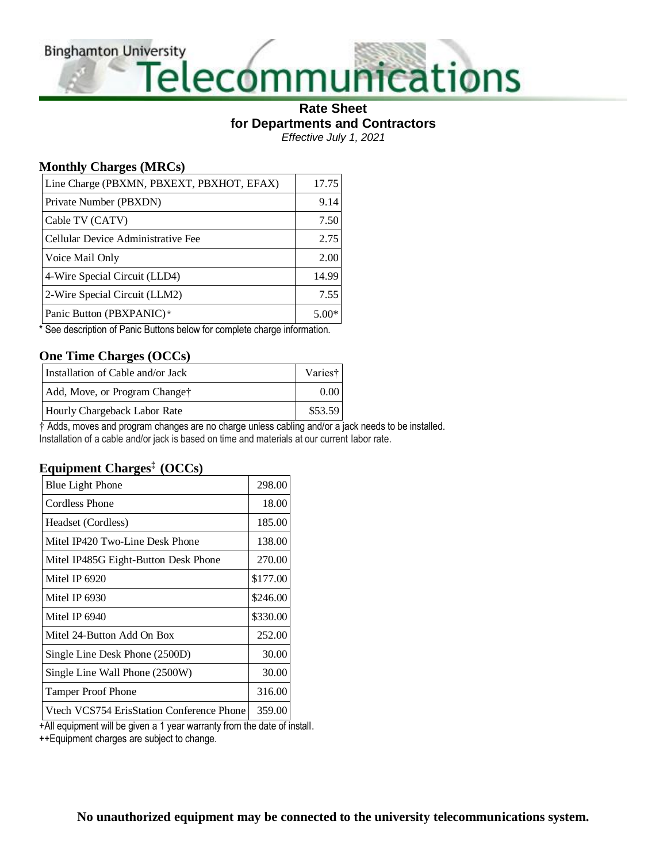**Binghamton University** 

# Versity<br>Telecommunications

#### **Rate Sheet for Departments and Contractors** *Effective July 1, 2021*

**Monthly Charges (MRCs)**

| Line Charge (PBXMN, PBXEXT, PBXHOT, EFAX) | 17.75   |
|-------------------------------------------|---------|
| Private Number (PBXDN)                    | 9.14    |
| Cable TV (CATV)                           | 7.50    |
| Cellular Device Administrative Fee        | 2.75    |
| Voice Mail Only                           | 2.00    |
| 4-Wire Special Circuit (LLD4)             | 14.99   |
| 2-Wire Special Circuit (LLM2)             | 7.55    |
| Panic Button (PBXPANIC)*                  | $5.00*$ |

\* See description of Panic Buttons below for complete charge information.

#### **One Time Charges (OCCs)**

| Installation of Cable and/or Jack | Varies† |
|-----------------------------------|---------|
| Add, Move, or Program Change†     | 0.00    |
| Hourly Chargeback Labor Rate      | \$53.59 |

† Adds, moves and program changes are no charge unless cabling and/or a jack needs to be installed. Installation of a cable and/or jack is based on time and materials at our current labor rate.

#### **Equipment Charges‡ (OCCs)**

| <b>Blue Light Phone</b>                   | 298.00   |
|-------------------------------------------|----------|
| <b>Cordless Phone</b>                     | 18.00    |
| Headset (Cordless)                        | 185.00   |
| Mitel IP420 Two-Line Desk Phone           | 138.00   |
| Mitel IP485G Eight-Button Desk Phone      | 270.00   |
| Mitel IP 6920                             | \$177.00 |
| Mitel IP 6930                             | \$246.00 |
| Mitel IP 6940                             | \$330.00 |
| Mitel 24-Button Add On Box                | 252.00   |
| Single Line Desk Phone (2500D)            | 30.00    |
| Single Line Wall Phone (2500W)            | 30.00    |
| <b>Tamper Proof Phone</b>                 | 316.00   |
| Vtech VCS754 ErisStation Conference Phone | 359.00   |

+All equipment will be given a 1 year warranty from the date of install.

++Equipment charges are subject to change.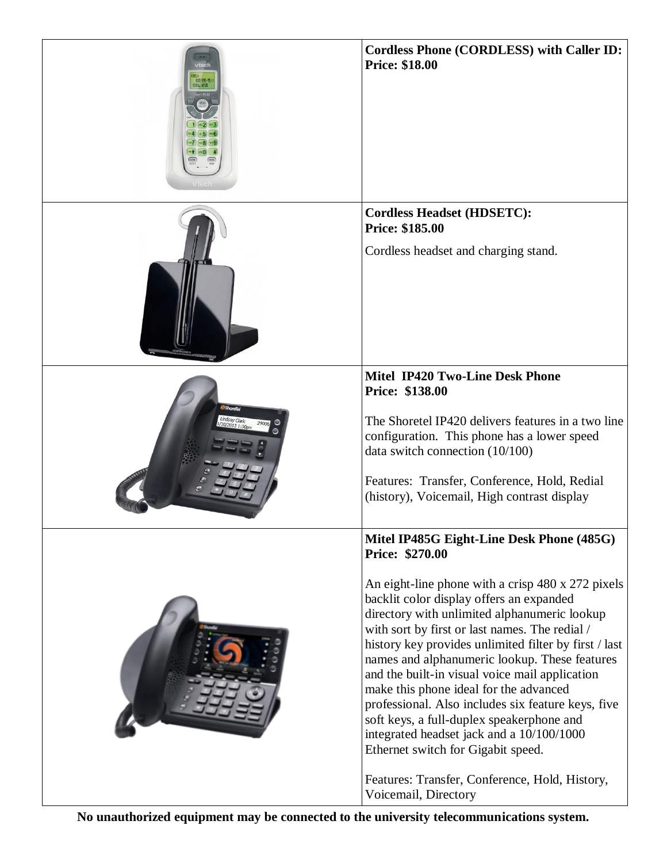| 800-595-95 <i>1</i>             | <b>Cordless Phone (CORDLESS) with Caller ID:</b><br><b>Price: \$18.00</b>                                                                                                                                                                                                                                                                                                                                                                                                                                                                                                                   |
|---------------------------------|---------------------------------------------------------------------------------------------------------------------------------------------------------------------------------------------------------------------------------------------------------------------------------------------------------------------------------------------------------------------------------------------------------------------------------------------------------------------------------------------------------------------------------------------------------------------------------------------|
|                                 | <b>Cordless Headset (HDSETC):</b><br>Price: \$185.00                                                                                                                                                                                                                                                                                                                                                                                                                                                                                                                                        |
|                                 | Cordless headset and charging stand.                                                                                                                                                                                                                                                                                                                                                                                                                                                                                                                                                        |
|                                 | <b>Mitel IP420 Two-Line Desk Phone</b><br>Price: \$138.00                                                                                                                                                                                                                                                                                                                                                                                                                                                                                                                                   |
| <b>ShoreTel</b><br>indsay Clark | The Shoretel IP420 delivers features in a two line<br>configuration. This phone has a lower speed<br>data switch connection $(10/100)$                                                                                                                                                                                                                                                                                                                                                                                                                                                      |
|                                 | Features: Transfer, Conference, Hold, Redial<br>(history), Voicemail, High contrast display                                                                                                                                                                                                                                                                                                                                                                                                                                                                                                 |
|                                 | Mitel IP485G Eight-Line Desk Phone (485G)<br><b>Price: \$270.00</b>                                                                                                                                                                                                                                                                                                                                                                                                                                                                                                                         |
|                                 | An eight-line phone with a crisp 480 x 272 pixels<br>backlit color display offers an expanded<br>directory with unlimited alphanumeric lookup<br>with sort by first or last names. The redial /<br>history key provides unlimited filter by first / last<br>names and alphanumeric lookup. These features<br>and the built-in visual voice mail application<br>make this phone ideal for the advanced<br>professional. Also includes six feature keys, five<br>soft keys, a full-duplex speakerphone and<br>integrated headset jack and a 10/100/1000<br>Ethernet switch for Gigabit speed. |
|                                 | Features: Transfer, Conference, Hold, History,<br>Voicemail, Directory                                                                                                                                                                                                                                                                                                                                                                                                                                                                                                                      |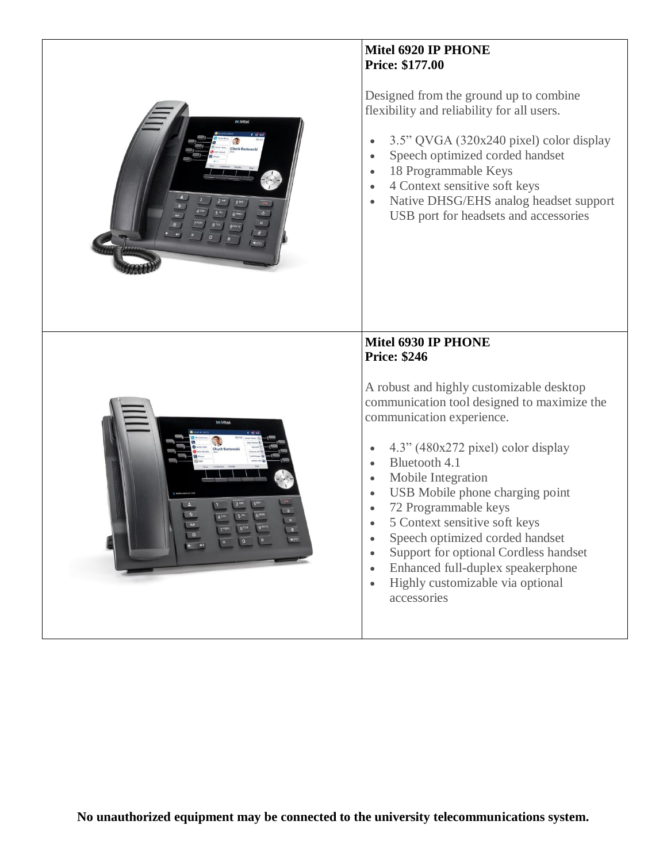

### **Mitel 6920 IP PHONE Price: \$177.00**

Designed from the ground up to combine flexibility and reliability for all users.

- 3.5" QVGA (320x240 pixel) color display
- Speech optimized corded handset
- 18 Programmable Keys
- 4 Context sensitive soft keys
- Native DHSG/EHS analog headset support USB port for headsets and accessories



## **Mitel 6930 IP PHONE Price: \$246**

A robust and highly customizable desktop communication tool designed to maximize the communication experience.

- $\bullet$  4.3" (480x272 pixel) color display
- Bluetooth 4.1
- Mobile Integration
- USB Mobile phone charging point
- 72 Programmable keys
- 5 Context sensitive soft keys
- Speech optimized corded handset
- Support for optional Cordless handset
- Enhanced full-duplex speakerphone
- Highly customizable via optional accessories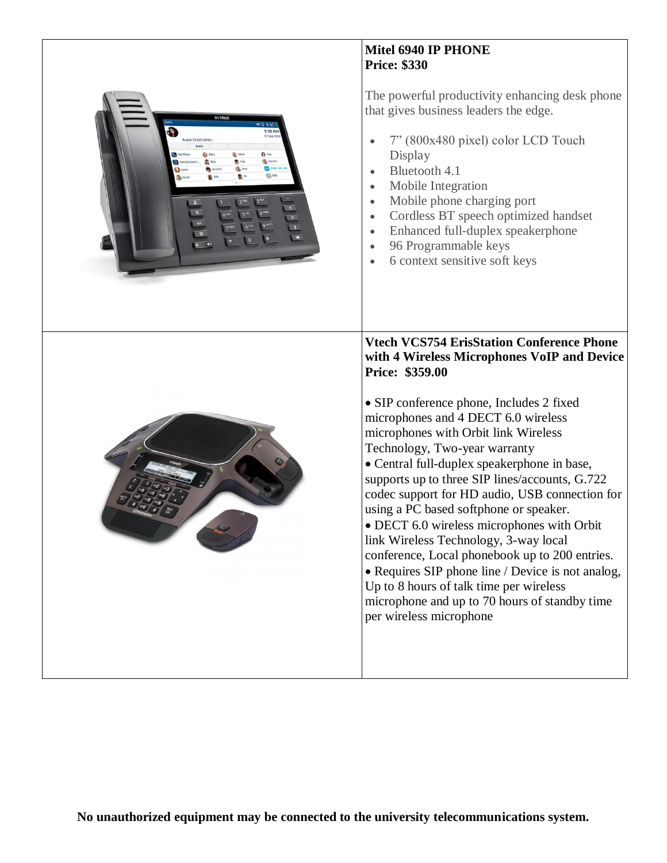